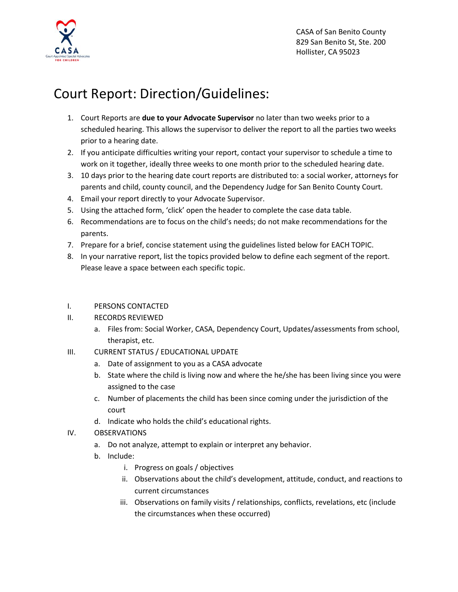

## Court Report: Direction/Guidelines:

- 1. Court Reports are **due to your Advocate Supervisor** no later than two weeks prior to a scheduled hearing. This allows the supervisor to deliver the report to all the parties two weeks prior to a hearing date.
- 2. If you anticipate difficulties writing your report, contact your supervisor to schedule a time to work on it together, ideally three weeks to one month prior to the scheduled hearing date.
- 3. 10 days prior to the hearing date court reports are distributed to: a social worker, attorneys for parents and child, county council, and the Dependency Judge for San Benito County Court.
- 4. Email your report directly to your Advocate Supervisor.
- 5. Using the attached form, 'click' open the header to complete the case data table.
- 6. Recommendations are to focus on the child's needs; do not make recommendations for the parents.
- 7. Prepare for a brief, concise statement using the guidelines listed below for EACH TOPIC.
- 8. In your narrative report, list the topics provided below to define each segment of the report. Please leave a space between each specific topic.
- I. PERSONS CONTACTED
- II. RECORDS REVIEWED
	- a. Files from: Social Worker, CASA, Dependency Court, Updates/assessments from school, therapist, etc.
- III. CURRENT STATUS / EDUCATIONAL UPDATE
	- a. Date of assignment to you as a CASA advocate
	- b. State where the child is living now and where the he/she has been living since you were assigned to the case
	- c. Number of placements the child has been since coming under the jurisdiction of the court
	- d. Indicate who holds the child's educational rights.
- IV. OBSERVATIONS
	- a. Do not analyze, attempt to explain or interpret any behavior.
	- b. Include:
		- i. Progress on goals / objectives
		- ii. Observations about the child's development, attitude, conduct, and reactions to current circumstances
		- iii. Observations on family visits / relationships, conflicts, revelations, etc (include the circumstances when these occurred)